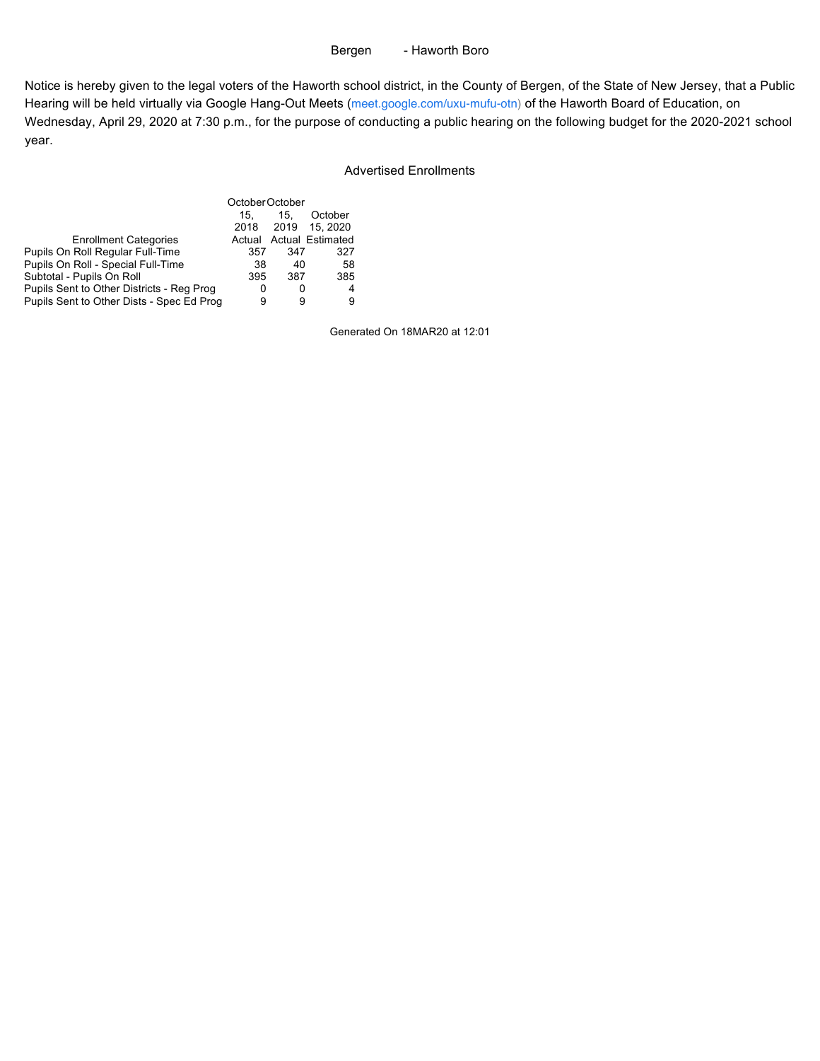## Bergen - Haworth Boro

Notice is hereby given to the legal voters of the Haworth school district, in the County of Bergen, of the State of New Jersey, that a Public Hearing will be held virtually via Google Hang-Out Meets (meet.google.com/uxu-mufu-otn) of the Haworth Board of Education, on Wednesday, April 29, 2020 at 7:30 p.m., for the purpose of conducting a public hearing on the following budget for the 2020-2021 school year.

# Advertised Enrollments

|                                           | October October       |     |                         |  |
|-------------------------------------------|-----------------------|-----|-------------------------|--|
|                                           | October<br>15.<br>15. |     |                         |  |
|                                           |                       |     | 2018 2019 15.2020       |  |
| <b>Enrollment Categories</b>              |                       |     | Actual Actual Estimated |  |
| Pupils On Roll Regular Full-Time          | 357                   | 347 | 327                     |  |
| Pupils On Roll - Special Full-Time        | 38                    | 40  | 58                      |  |
| Subtotal - Pupils On Roll                 | 395                   | 387 | 385                     |  |
| Pupils Sent to Other Districts - Reg Prog | 0                     | 0   | 4                       |  |
| Pupils Sent to Other Dists - Spec Ed Prog | 9                     | 9   | 9                       |  |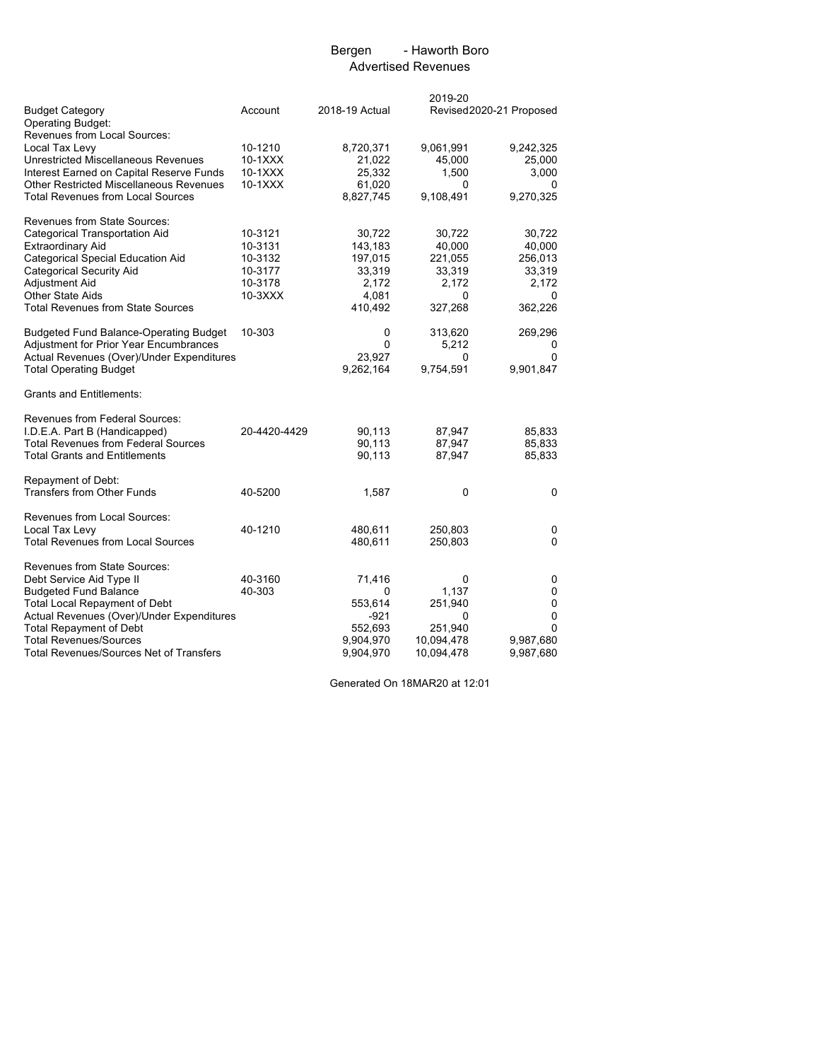## Bergen - Haworth Boro Advertised Revenues

|                                                |              |                | 2019-20    |                         |
|------------------------------------------------|--------------|----------------|------------|-------------------------|
| <b>Budget Category</b>                         | Account      | 2018-19 Actual |            | Revised2020-21 Proposed |
| <b>Operating Budget:</b>                       |              |                |            |                         |
| Revenues from Local Sources:                   |              |                |            |                         |
| Local Tax Levy                                 | 10-1210      | 8,720,371      | 9,061,991  | 9,242,325               |
| Unrestricted Miscellaneous Revenues            | 10-1XXX      | 21,022         | 45,000     | 25,000                  |
| Interest Earned on Capital Reserve Funds       | $10-1XXX$    | 25,332         | 1,500      | 3,000                   |
| <b>Other Restricted Miscellaneous Revenues</b> | 10-1XXX      | 61,020         | 0          | 0                       |
| <b>Total Revenues from Local Sources</b>       |              | 8,827,745      | 9,108,491  | 9,270,325               |
| Revenues from State Sources:                   |              |                |            |                         |
| <b>Categorical Transportation Aid</b>          | 10-3121      | 30,722         | 30,722     | 30,722                  |
| <b>Extraordinary Aid</b>                       | 10-3131      | 143,183        | 40,000     | 40,000                  |
| Categorical Special Education Aid              | 10-3132      | 197,015        | 221,055    | 256,013                 |
| <b>Categorical Security Aid</b>                | 10-3177      | 33,319         | 33,319     | 33,319                  |
| Adjustment Aid                                 | 10-3178      | 2,172          | 2,172      | 2,172                   |
| <b>Other State Aids</b>                        | 10-3XXX      | 4,081          | 0          | 0                       |
| <b>Total Revenues from State Sources</b>       |              | 410,492        | 327,268    | 362,226                 |
| <b>Budgeted Fund Balance-Operating Budget</b>  | 10-303       | 0              | 313,620    | 269,296                 |
| <b>Adjustment for Prior Year Encumbrances</b>  |              | 0              | 5,212      | 0                       |
| Actual Revenues (Over)/Under Expenditures      |              | 23,927         | 0          | 0                       |
| <b>Total Operating Budget</b>                  |              | 9,262,164      | 9,754,591  | 9,901,847               |
| <b>Grants and Entitlements:</b>                |              |                |            |                         |
| Revenues from Federal Sources:                 |              |                |            |                         |
| I.D.E.A. Part B (Handicapped)                  | 20-4420-4429 | 90,113         | 87,947     | 85,833                  |
| <b>Total Revenues from Federal Sources</b>     |              | 90,113         | 87,947     | 85,833                  |
| <b>Total Grants and Entitlements</b>           |              | 90,113         | 87,947     | 85,833                  |
| Repayment of Debt:                             |              |                |            |                         |
| <b>Transfers from Other Funds</b>              | 40-5200      | 1,587          | 0          | 0                       |
| Revenues from Local Sources:                   |              |                |            |                         |
| Local Tax Levy                                 | 40-1210      | 480,611        | 250,803    | 0                       |
| <b>Total Revenues from Local Sources</b>       |              | 480,611        | 250,803    | 0                       |
| Revenues from State Sources:                   |              |                |            |                         |
| Debt Service Aid Type II                       | 40-3160      | 71,416         | 0          | 0                       |
| <b>Budgeted Fund Balance</b>                   | 40-303       | 0              | 1,137      | 0                       |
| <b>Total Local Repayment of Debt</b>           |              | 553,614        | 251,940    | 0                       |
| Actual Revenues (Over)/Under Expenditures      |              | -921           | 0          | $\mathbf 0$             |
| <b>Total Repayment of Debt</b>                 |              | 552,693        | 251,940    | 0                       |
| <b>Total Revenues/Sources</b>                  |              | 9,904,970      | 10,094,478 | 9,987,680               |
| <b>Total Revenues/Sources Net of Transfers</b> |              | 9,904,970      | 10,094,478 | 9,987,680               |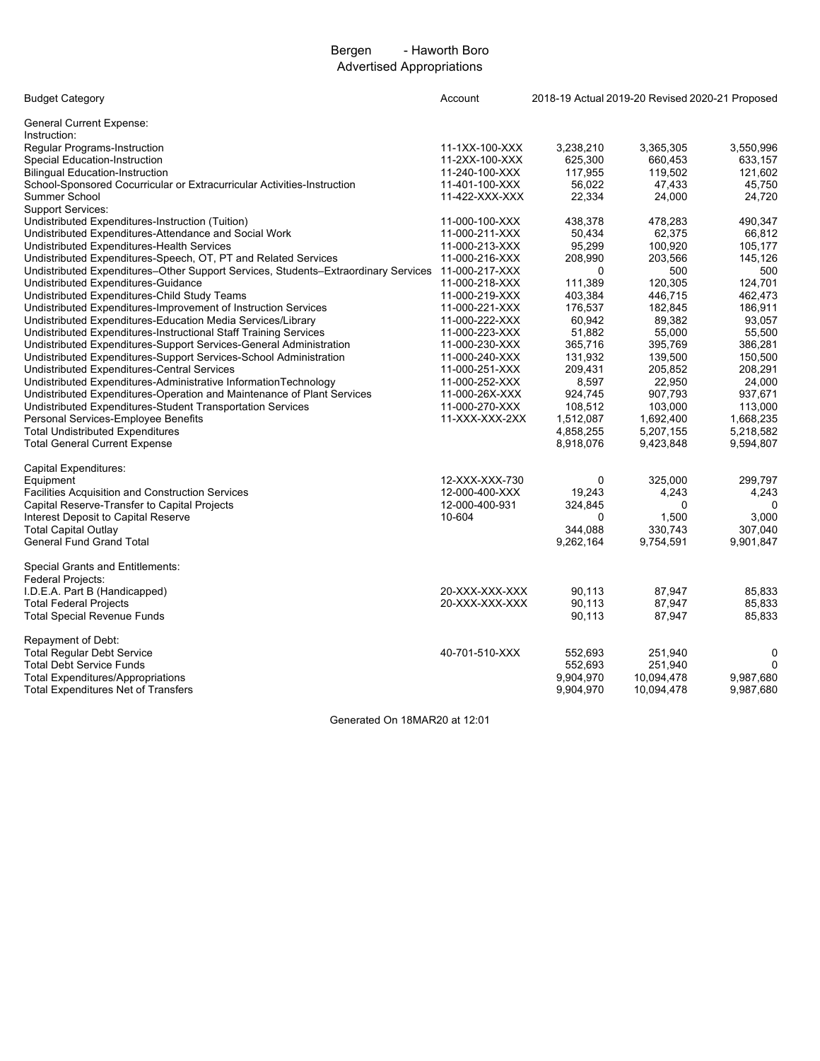# Bergen - Haworth Boro Advertised Appropriations

| <b>Budget Category</b>                                                                            | Account        | 2018-19 Actual 2019-20 Revised 2020-21 Proposed |            |             |  |  |
|---------------------------------------------------------------------------------------------------|----------------|-------------------------------------------------|------------|-------------|--|--|
| <b>General Current Expense:</b>                                                                   |                |                                                 |            |             |  |  |
| Instruction:                                                                                      |                |                                                 |            |             |  |  |
| Regular Programs-Instruction                                                                      | 11-1XX-100-XXX | 3,238,210                                       | 3,365,305  | 3,550,996   |  |  |
| <b>Special Education-Instruction</b>                                                              | 11-2XX-100-XXX | 625,300                                         | 660,453    | 633,157     |  |  |
| <b>Bilingual Education-Instruction</b>                                                            | 11-240-100-XXX | 117,955                                         | 119,502    | 121,602     |  |  |
| School-Sponsored Cocurricular or Extracurricular Activities-Instruction                           | 11-401-100-XXX | 56,022                                          | 47,433     | 45,750      |  |  |
| Summer School                                                                                     | 11-422-XXX-XXX | 22,334                                          | 24,000     | 24,720      |  |  |
| <b>Support Services:</b>                                                                          |                |                                                 |            |             |  |  |
| Undistributed Expenditures-Instruction (Tuition)                                                  | 11-000-100-XXX | 438,378                                         | 478,283    | 490,347     |  |  |
| Undistributed Expenditures-Attendance and Social Work                                             | 11-000-211-XXX | 50,434                                          | 62,375     | 66,812      |  |  |
| Undistributed Expenditures-Health Services                                                        | 11-000-213-XXX | 95,299                                          | 100,920    | 105,177     |  |  |
| Undistributed Expenditures-Speech, OT, PT and Related Services                                    | 11-000-216-XXX | 208,990                                         | 203,566    | 145,126     |  |  |
| Undistributed Expenditures-Other Support Services, Students-Extraordinary Services 11-000-217-XXX |                | 0                                               | 500        | 500         |  |  |
| Undistributed Expenditures-Guidance                                                               | 11-000-218-XXX | 111,389                                         | 120,305    | 124,701     |  |  |
| Undistributed Expenditures-Child Study Teams                                                      | 11-000-219-XXX | 403,384                                         | 446,715    | 462,473     |  |  |
| Undistributed Expenditures-Improvement of Instruction Services                                    | 11-000-221-XXX | 176,537                                         | 182,845    | 186,911     |  |  |
| Undistributed Expenditures-Education Media Services/Library                                       | 11-000-222-XXX | 60,942                                          | 89,382     | 93,057      |  |  |
| Undistributed Expenditures-Instructional Staff Training Services                                  | 11-000-223-XXX | 51,882                                          | 55,000     | 55,500      |  |  |
| Undistributed Expenditures-Support Services-General Administration                                | 11-000-230-XXX | 365,716                                         | 395,769    | 386,281     |  |  |
| Undistributed Expenditures-Support Services-School Administration                                 | 11-000-240-XXX | 131,932                                         | 139,500    | 150,500     |  |  |
| Undistributed Expenditures-Central Services                                                       | 11-000-251-XXX | 209,431                                         | 205,852    | 208,291     |  |  |
| Undistributed Expenditures-Administrative InformationTechnology                                   | 11-000-252-XXX | 8,597                                           | 22,950     | 24,000      |  |  |
| Undistributed Expenditures-Operation and Maintenance of Plant Services                            | 11-000-26X-XXX | 924,745                                         | 907,793    | 937,671     |  |  |
| Undistributed Expenditures-Student Transportation Services                                        | 11-000-270-XXX | 108,512                                         | 103,000    | 113,000     |  |  |
| Personal Services-Employee Benefits                                                               | 11-XXX-XXX-2XX | 1,512,087                                       | 1,692,400  | 1,668,235   |  |  |
| <b>Total Undistributed Expenditures</b>                                                           |                |                                                 |            |             |  |  |
|                                                                                                   |                | 4,858,255                                       | 5,207,155  | 5,218,582   |  |  |
| <b>Total General Current Expense</b>                                                              |                | 8,918,076                                       | 9,423,848  | 9,594,807   |  |  |
| Capital Expenditures:                                                                             |                |                                                 |            |             |  |  |
| Equipment                                                                                         | 12-XXX-XXX-730 | 0                                               | 325,000    | 299,797     |  |  |
| Facilities Acquisition and Construction Services                                                  | 12-000-400-XXX | 19,243                                          | 4,243      | 4,243       |  |  |
| Capital Reserve-Transfer to Capital Projects                                                      | 12-000-400-931 | 324,845                                         | 0          | $\Omega$    |  |  |
| Interest Deposit to Capital Reserve                                                               | 10-604         | 0                                               | 1,500      | 3,000       |  |  |
| <b>Total Capital Outlay</b>                                                                       |                | 344.088                                         | 330,743    | 307.040     |  |  |
| <b>General Fund Grand Total</b>                                                                   |                | 9,262,164                                       | 9,754,591  | 9,901,847   |  |  |
| Special Grants and Entitlements:                                                                  |                |                                                 |            |             |  |  |
|                                                                                                   |                |                                                 |            |             |  |  |
| Federal Projects:                                                                                 |                |                                                 |            |             |  |  |
| I.D.E.A. Part B (Handicapped)                                                                     | 20-XXX-XXX-XXX | 90,113                                          | 87,947     | 85,833      |  |  |
| <b>Total Federal Projects</b>                                                                     | 20-XXX-XXX-XXX | 90,113                                          | 87,947     | 85.833      |  |  |
| <b>Total Special Revenue Funds</b>                                                                |                | 90,113                                          | 87,947     | 85,833      |  |  |
| Repayment of Debt:                                                                                |                |                                                 |            |             |  |  |
| <b>Total Regular Debt Service</b>                                                                 | 40-701-510-XXX | 552,693                                         | 251,940    | 0           |  |  |
| <b>Total Debt Service Funds</b>                                                                   |                | 552,693                                         | 251,940    | $\mathbf 0$ |  |  |
| <b>Total Expenditures/Appropriations</b>                                                          |                | 9,904,970                                       | 10,094,478 | 9,987,680   |  |  |
| <b>Total Expenditures Net of Transfers</b>                                                        |                | 9,904,970                                       | 10,094,478 | 9,987,680   |  |  |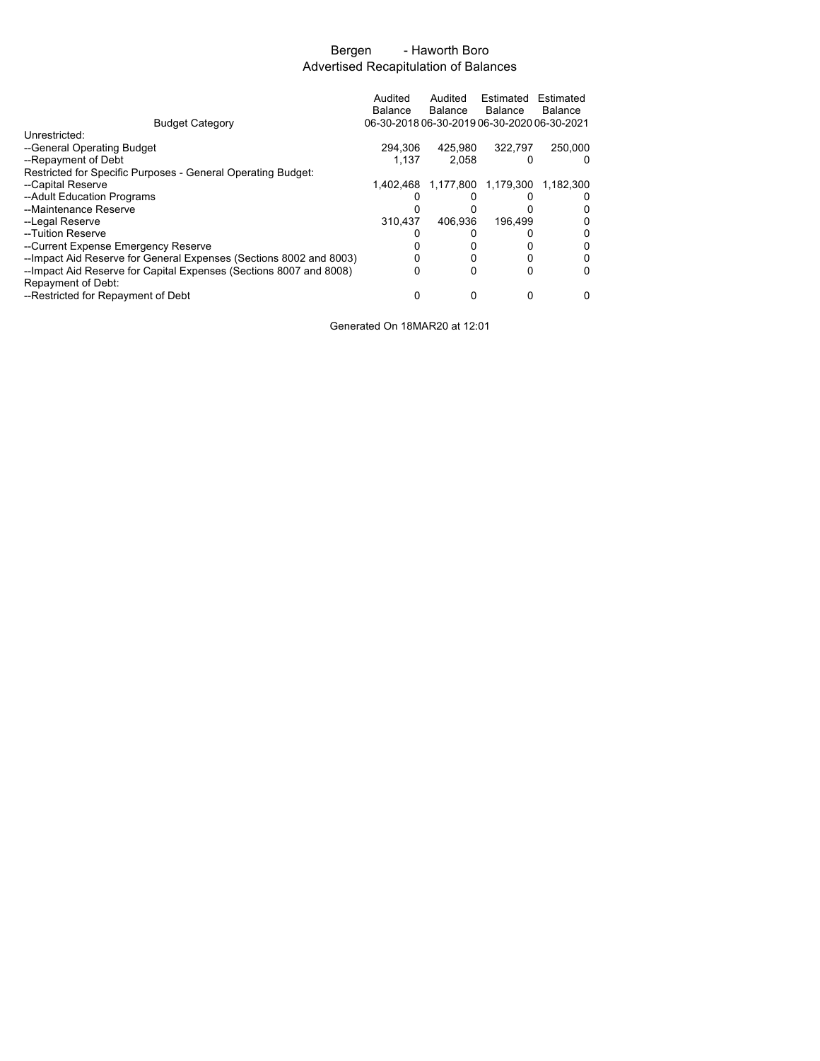# Bergen - Haworth Boro Advertised Recapitulation of Balances

|                                                                                          | Audited<br>Balance                          | Audited<br><b>Balance</b> | Estimated<br><b>Balance</b> | Estimated<br><b>Balance</b>   |
|------------------------------------------------------------------------------------------|---------------------------------------------|---------------------------|-----------------------------|-------------------------------|
| <b>Budget Category</b>                                                                   | 06-30-2018 06-30-2019 06-30-2020 06-30-2021 |                           |                             |                               |
| Unrestricted:                                                                            |                                             |                           |                             |                               |
| --General Operating Budget                                                               | 294.306                                     | 425.980                   | 322.797                     | 250.000                       |
| --Repayment of Debt                                                                      | 1.137                                       | 2.058                     | 0                           | 0                             |
| Restricted for Specific Purposes - General Operating Budget:                             |                                             |                           |                             |                               |
| --Capital Reserve                                                                        | 1.402.468                                   |                           |                             | 1,177,800 1,179,300 1,182,300 |
| --Adult Education Programs                                                               |                                             |                           |                             |                               |
| --Maintenance Reserve                                                                    |                                             |                           |                             |                               |
| --Legal Reserve                                                                          | 310.437                                     | 406.936                   | 196.499                     |                               |
| --Tuition Reserve                                                                        |                                             |                           |                             |                               |
| --Current Expense Emergency Reserve                                                      |                                             |                           |                             | 0                             |
| -- Impact Aid Reserve for General Expenses (Sections 8002 and 8003)                      |                                             |                           | 0                           | 0                             |
| --Impact Aid Reserve for Capital Expenses (Sections 8007 and 8008)<br>Repayment of Debt: |                                             |                           | 0                           | 0                             |
| --Restricted for Repayment of Debt                                                       |                                             | Ω                         | 0                           | 0                             |